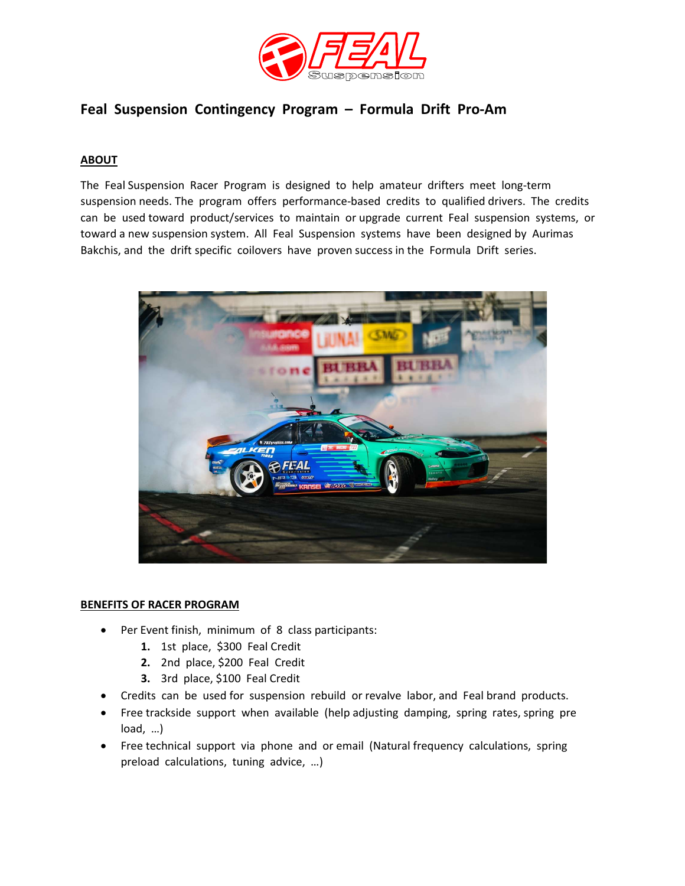

## Feal Suspension Contingency Program – Formula Drift Pro-Am

#### **ABOUT**

The Feal Suspension Racer Program is designed to help amateur drifters meet long-term suspension needs. The program offers performance-based credits to qualified drivers. The credits can be used toward product/services to maintain or upgrade current Feal suspension systems, or toward a new suspension system. All Feal Suspension systems have been designed by Aurimas Bakchis, and the drift specific coilovers have proven success in the Formula Drift series.



#### BENEFITS OF RACER PROGRAM

- Per Event finish, minimum of 8 class participants:
	- 1. 1st place, \$300 Feal Credit
	- 2. 2nd place, \$200 Feal Credit
	- 3. 3rd place, \$100 Feal Credit
- Credits can be used for suspension rebuild or revalve labor, and Feal brand products.
- Free trackside support when available (help adjusting damping, spring rates, spring pre load, …)
- Free technical support via phone and or email (Natural frequency calculations, spring preload calculations, tuning advice, …)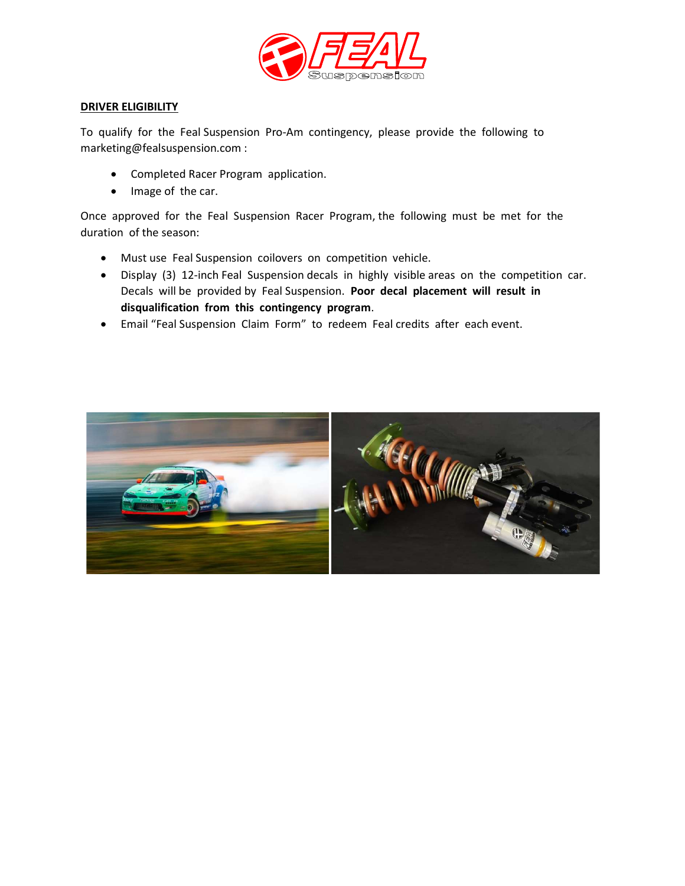

#### DRIVER ELIGIBILITY

To qualify for the Feal Suspension Pro-Am contingency, please provide the following to marketing@fealsuspension.com :

- Completed Racer Program application.
- Image of the car.

Once approved for the Feal Suspension Racer Program, the following must be met for the duration of the season:

- Must use Feal Suspension coilovers on competition vehicle.
- Display (3) 12-inch Feal Suspension decals in highly visible areas on the competition car. Decals will be provided by Feal Suspension. Poor decal placement will result in disqualification from this contingency program.
- Email "Feal Suspension Claim Form" to redeem Feal credits after each event.

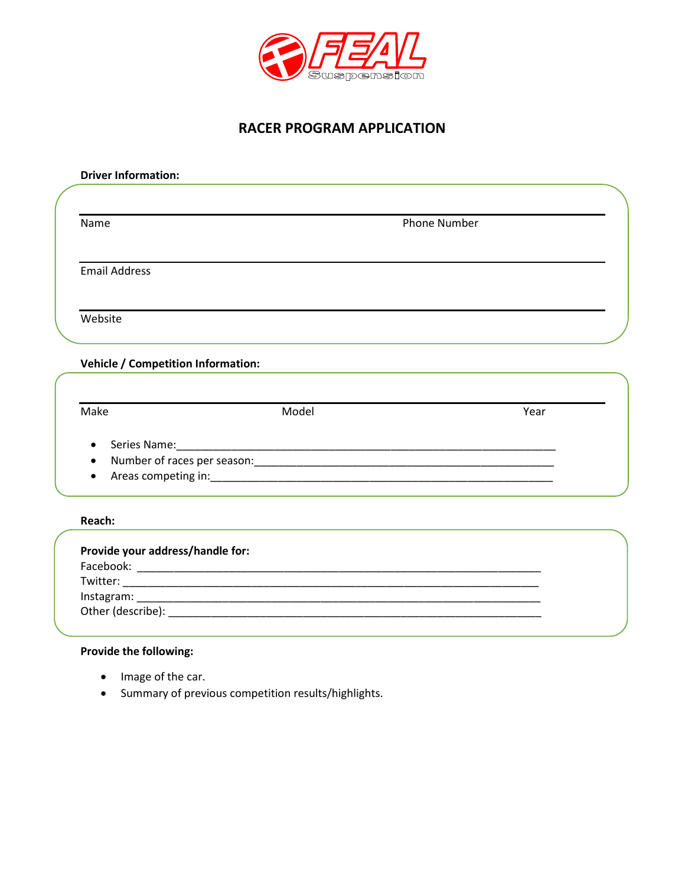

### RACER PROGRAM APPLICATION

| <b>Driver Information:</b>                |       |                     |      |
|-------------------------------------------|-------|---------------------|------|
|                                           |       |                     |      |
| Name                                      |       | <b>Phone Number</b> |      |
|                                           |       |                     |      |
| <b>Email Address</b>                      |       |                     |      |
|                                           |       |                     |      |
| Website                                   |       |                     |      |
| <b>Vehicle / Competition Information:</b> |       |                     |      |
|                                           |       |                     |      |
| Make                                      | Model |                     | Year |
|                                           |       |                     |      |
|                                           |       |                     |      |
|                                           |       |                     |      |
| Reach:                                    |       |                     |      |
| Provide your address/handle for:          |       |                     |      |
|                                           |       |                     |      |
|                                           |       |                     |      |
|                                           |       |                     |      |
|                                           |       |                     |      |

### Provide the following:

- Image of the car.
- Summary of previous competition results/highlights.